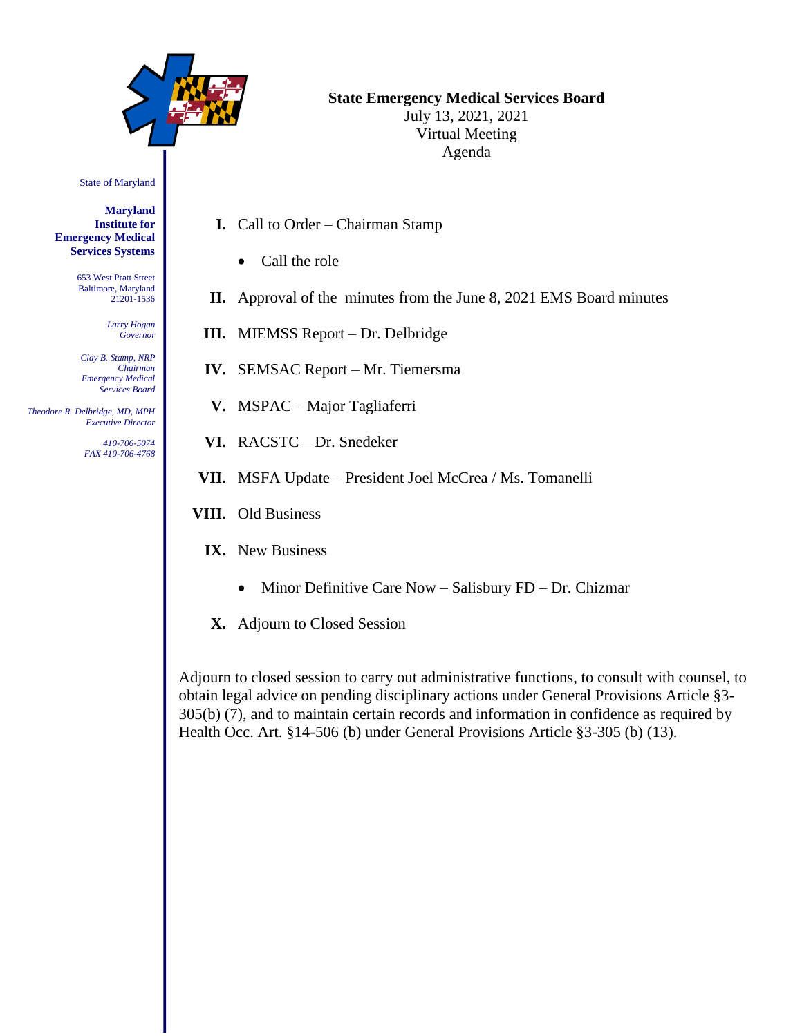

# **State Emergency Medical Services Board**

July 13, 2021, 2021 Virtual Meeting Agenda

State of Maryland

**Maryland Institute for Emergency Medical Services Systems**

> 653 West Pratt Street Baltimore, Maryland 21201-1536

> > *Larry Hogan Governor*

*Clay B. Stamp, NRP Chairman Emergency Medical Services Board*

 *Theodore R. Delbridge, MD, MPH Executive Director*

> *410-706-5074 FAX 410-706-4768*

- **I.** Call to Order Chairman Stamp
	- Call the role
- **II.** Approval of the minutes from the June 8, 2021 EMS Board minutes
- **III.** MIEMSS Report Dr. Delbridge
- **IV.** SEMSAC Report Mr. Tiemersma
- **V.** MSPAC Major Tagliaferri
- **VI.** RACSTC Dr. Snedeker
- **VII.** MSFA Update President Joel McCrea / Ms. Tomanelli
- **VIII.** Old Business
	- **IX.** New Business
		- Minor Definitive Care Now Salisbury FD Dr. Chizmar
	- **X.** Adjourn to Closed Session

Adjourn to closed session to carry out administrative functions, to consult with counsel, to obtain legal advice on pending disciplinary actions under General Provisions Article §3- 305(b) (7), and to maintain certain records and information in confidence as required by Health Occ. Art. §14-506 (b) under General Provisions Article §3-305 (b) (13).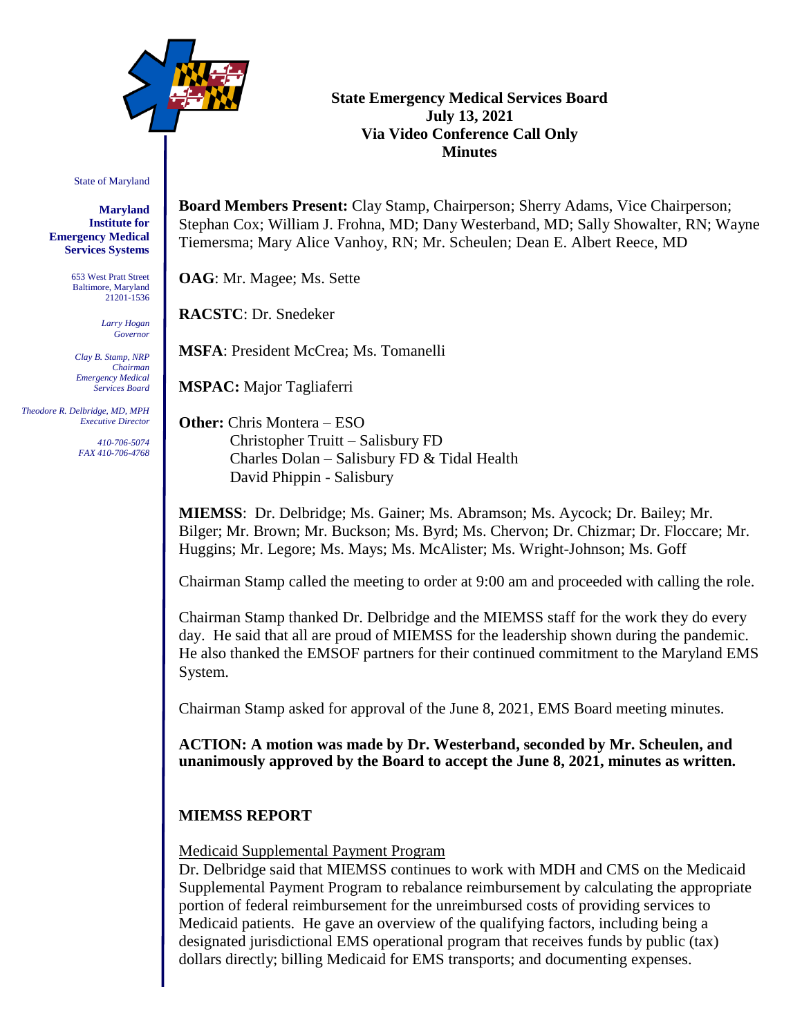

## **State Emergency Medical Services Board July 13, 2021 Via Video Conference Call Only Minutes**

State of Maryland

**Maryland Institute for Emergency Medical Services Systems**

> 653 West Pratt Street Baltimore, Maryland 21201-1536

> > *Larry Hogan Governor*

*Clay B. Stamp, NRP Chairman Emergency Medical Services Board*

 *Theodore R. Delbridge, MD, MPH Executive Director*

> *410-706-5074 FAX 410-706-4768*

**Board Members Present:** Clay Stamp, Chairperson; Sherry Adams, Vice Chairperson; Stephan Cox; William J. Frohna, MD; Dany Westerband, MD; Sally Showalter, RN; Wayne Tiemersma; Mary Alice Vanhoy, RN; Mr. Scheulen; Dean E. Albert Reece, MD

**OAG**: Mr. Magee; Ms. Sette

**RACSTC**: Dr. Snedeker

**MSFA**: President McCrea; Ms. Tomanelli

**MSPAC:** Major Tagliaferri

**Other:** Chris Montera – ESO Christopher Truitt – Salisbury FD Charles Dolan – Salisbury FD & Tidal Health David Phippin - Salisbury

**MIEMSS**: Dr. Delbridge; Ms. Gainer; Ms. Abramson; Ms. Aycock; Dr. Bailey; Mr. Bilger; Mr. Brown; Mr. Buckson; Ms. Byrd; Ms. Chervon; Dr. Chizmar; Dr. Floccare; Mr. Huggins; Mr. Legore; Ms. Mays; Ms. McAlister; Ms. Wright-Johnson; Ms. Goff

Chairman Stamp called the meeting to order at 9:00 am and proceeded with calling the role.

Chairman Stamp thanked Dr. Delbridge and the MIEMSS staff for the work they do every day. He said that all are proud of MIEMSS for the leadership shown during the pandemic. He also thanked the EMSOF partners for their continued commitment to the Maryland EMS System.

Chairman Stamp asked for approval of the June 8, 2021, EMS Board meeting minutes.

**ACTION: A motion was made by Dr. Westerband, seconded by Mr. Scheulen, and unanimously approved by the Board to accept the June 8, 2021, minutes as written.**

# **MIEMSS REPORT**

# Medicaid Supplemental Payment Program

Dr. Delbridge said that MIEMSS continues to work with MDH and CMS on the Medicaid Supplemental Payment Program to rebalance reimbursement by calculating the appropriate portion of federal reimbursement for the unreimbursed costs of providing services to Medicaid patients. He gave an overview of the qualifying factors, including being a designated jurisdictional EMS operational program that receives funds by public (tax) dollars directly; billing Medicaid for EMS transports; and documenting expenses.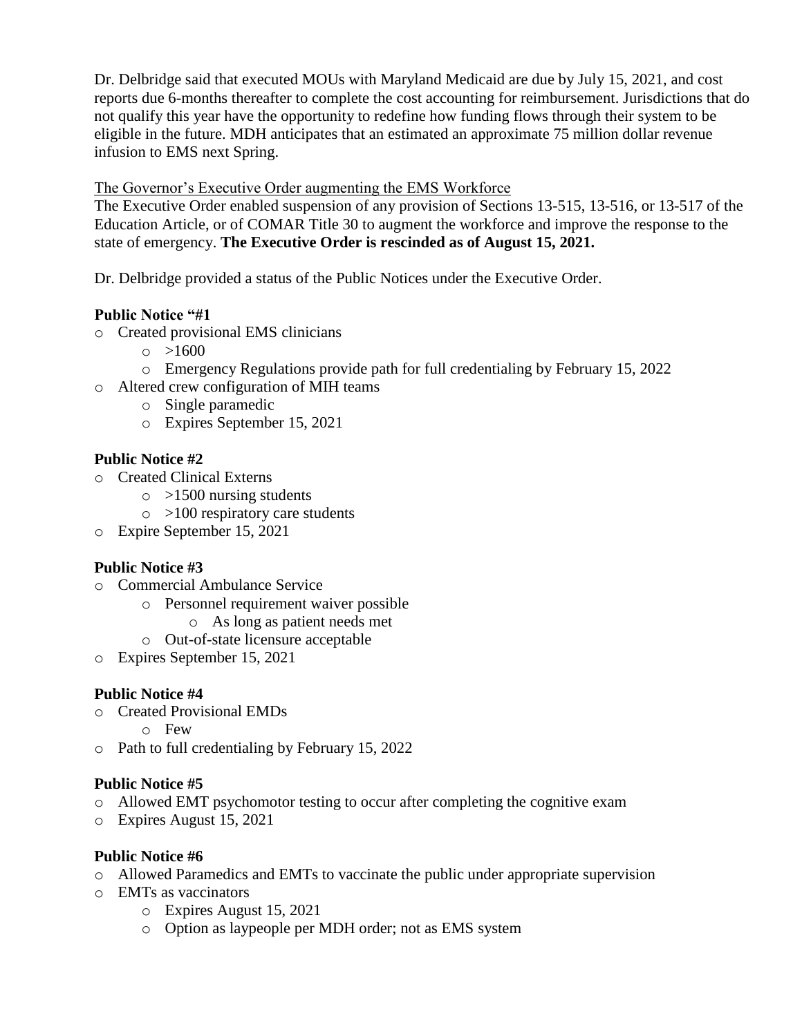Dr. Delbridge said that executed MOUs with Maryland Medicaid are due by July 15, 2021, and cost reports due 6-months thereafter to complete the cost accounting for reimbursement. Jurisdictions that do not qualify this year have the opportunity to redefine how funding flows through their system to be eligible in the future. MDH anticipates that an estimated an approximate 75 million dollar revenue infusion to EMS next Spring.

## The Governor's Executive Order augmenting the EMS Workforce

The Executive Order enabled suspension of any provision of Sections 13-515, 13-516, or 13-517 of the Education Article, or of COMAR Title 30 to augment the workforce and improve the response to the state of emergency. **The Executive Order is rescinded as of August 15, 2021.**

Dr. Delbridge provided a status of the Public Notices under the Executive Order.

## **Public Notice "#1**

- o Created provisional EMS clinicians
	- $0 \t > 1600$
	- o Emergency Regulations provide path for full credentialing by February 15, 2022
- o Altered crew configuration of MIH teams
	- o Single paramedic
	- o Expires September 15, 2021

## **Public Notice #2**

- o Created Clinical Externs
	- $\circ$  >1500 nursing students
	- $\circ$  >100 respiratory care students
- o Expire September 15, 2021

# **Public Notice #3**

- o Commercial Ambulance Service
	- o Personnel requirement waiver possible
		- o As long as patient needs met
	- o Out-of-state licensure acceptable
- o Expires September 15, 2021

# **Public Notice #4**

- o Created Provisional EMDs
	- o Few
- o Path to full credentialing by February 15, 2022

# **Public Notice #5**

- o Allowed EMT psychomotor testing to occur after completing the cognitive exam
- o Expires August 15, 2021

# **Public Notice #6**

- o Allowed Paramedics and EMTs to vaccinate the public under appropriate supervision
- o EMTs as vaccinators
	- o Expires August 15, 2021
	- o Option as laypeople per MDH order; not as EMS system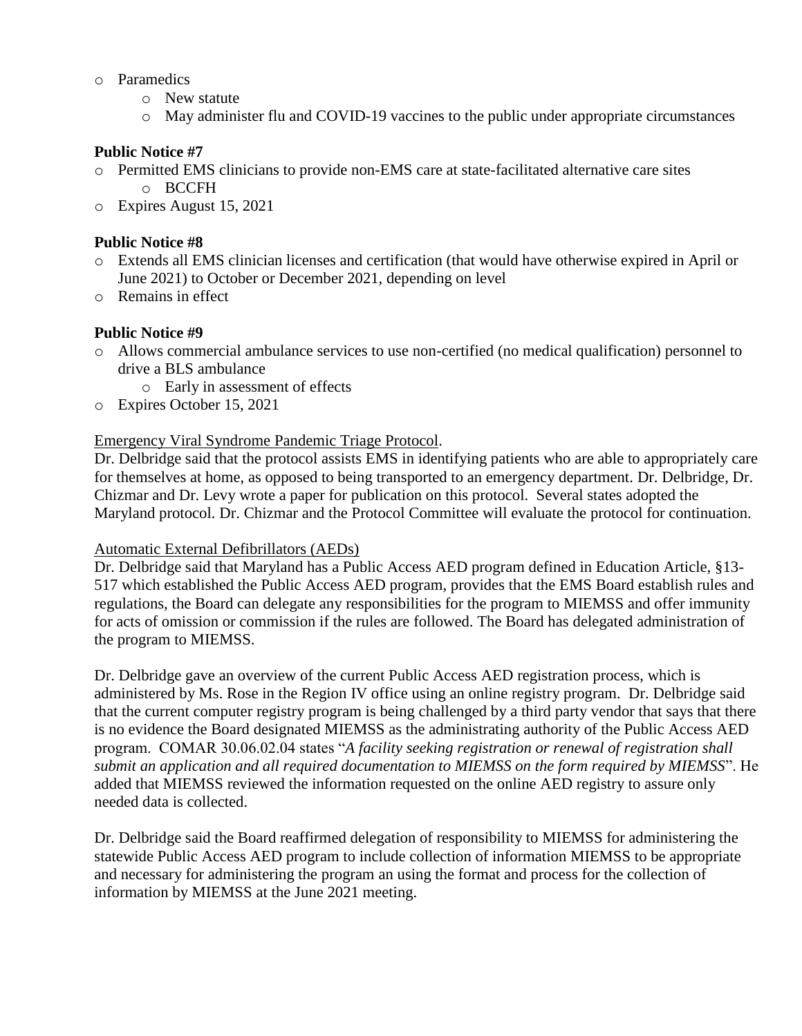#### o Paramedics

- o New statute
- o May administer flu and COVID-19 vaccines to the public under appropriate circumstances

## **Public Notice #7**

- o Permitted EMS clinicians to provide non-EMS care at state-facilitated alternative care sites o BCCFH
- o Expires August 15, 2021

#### **Public Notice #8**

- o Extends all EMS clinician licenses and certification (that would have otherwise expired in April or June 2021) to October or December 2021, depending on level
- o Remains in effect

# **Public Notice #9**

- o Allows commercial ambulance services to use non-certified (no medical qualification) personnel to drive a BLS ambulance
	- o Early in assessment of effects
- o Expires October 15, 2021

## Emergency Viral Syndrome Pandemic Triage Protocol.

Dr. Delbridge said that the protocol assists EMS in identifying patients who are able to appropriately care for themselves at home, as opposed to being transported to an emergency department. Dr. Delbridge, Dr. Chizmar and Dr. Levy wrote a paper for publication on this protocol. Several states adopted the Maryland protocol. Dr. Chizmar and the Protocol Committee will evaluate the protocol for continuation.

#### Automatic External Defibrillators (AEDs)

Dr. Delbridge said that Maryland has a Public Access AED program defined in Education Article, §13- 517 which established the Public Access AED program, provides that the EMS Board establish rules and regulations, the Board can delegate any responsibilities for the program to MIEMSS and offer immunity for acts of omission or commission if the rules are followed. The Board has delegated administration of the program to MIEMSS.

Dr. Delbridge gave an overview of the current Public Access AED registration process, which is administered by Ms. Rose in the Region IV office using an online registry program. Dr. Delbridge said that the current computer registry program is being challenged by a third party vendor that says that there is no evidence the Board designated MIEMSS as the administrating authority of the Public Access AED program. COMAR 30.06.02.04 states "*A facility seeking registration or renewal of registration shall submit an application and all required documentation to MIEMSS on the form required by MIEMSS*". He added that MIEMSS reviewed the information requested on the online AED registry to assure only needed data is collected.

Dr. Delbridge said the Board reaffirmed delegation of responsibility to MIEMSS for administering the statewide Public Access AED program to include collection of information MIEMSS to be appropriate and necessary for administering the program an using the format and process for the collection of information by MIEMSS at the June 2021 meeting.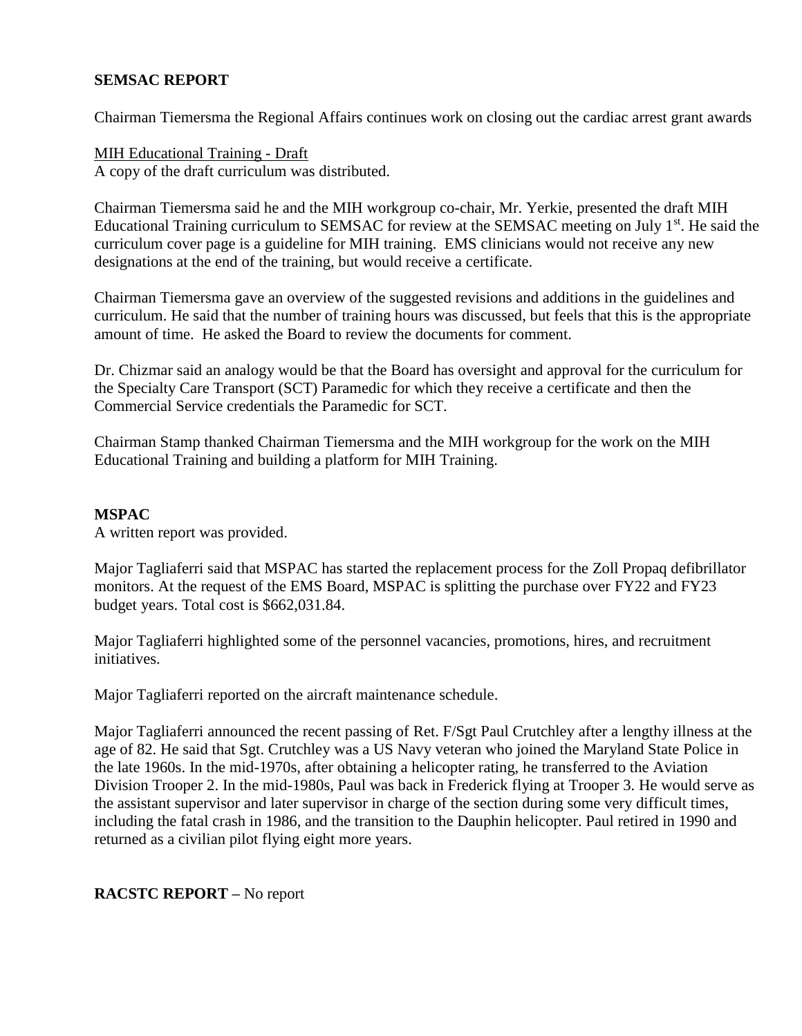# **SEMSAC REPORT**

Chairman Tiemersma the Regional Affairs continues work on closing out the cardiac arrest grant awards

MIH Educational Training - Draft A copy of the draft curriculum was distributed.

Chairman Tiemersma said he and the MIH workgroup co-chair, Mr. Yerkie, presented the draft MIH Educational Training curriculum to SEMSAC for review at the SEMSAC meeting on July 1<sup>st</sup>. He said the curriculum cover page is a guideline for MIH training. EMS clinicians would not receive any new designations at the end of the training, but would receive a certificate.

Chairman Tiemersma gave an overview of the suggested revisions and additions in the guidelines and curriculum. He said that the number of training hours was discussed, but feels that this is the appropriate amount of time. He asked the Board to review the documents for comment.

Dr. Chizmar said an analogy would be that the Board has oversight and approval for the curriculum for the Specialty Care Transport (SCT) Paramedic for which they receive a certificate and then the Commercial Service credentials the Paramedic for SCT.

Chairman Stamp thanked Chairman Tiemersma and the MIH workgroup for the work on the MIH Educational Training and building a platform for MIH Training.

#### **MSPAC**

A written report was provided.

Major Tagliaferri said that MSPAC has started the replacement process for the Zoll Propaq defibrillator monitors. At the request of the EMS Board, MSPAC is splitting the purchase over FY22 and FY23 budget years. Total cost is \$662,031.84.

Major Tagliaferri highlighted some of the personnel vacancies, promotions, hires, and recruitment initiatives.

Major Tagliaferri reported on the aircraft maintenance schedule.

Major Tagliaferri announced the recent passing of Ret. F/Sgt Paul Crutchley after a lengthy illness at the age of 82. He said that Sgt. Crutchley was a US Navy veteran who joined the Maryland State Police in the late 1960s. In the mid-1970s, after obtaining a helicopter rating, he transferred to the Aviation Division Trooper 2. In the mid-1980s, Paul was back in Frederick flying at Trooper 3. He would serve as the assistant supervisor and later supervisor in charge of the section during some very difficult times, including the fatal crash in 1986, and the transition to the Dauphin helicopter. Paul retired in 1990 and returned as a civilian pilot flying eight more years.

#### **RACSTC REPORT –** No report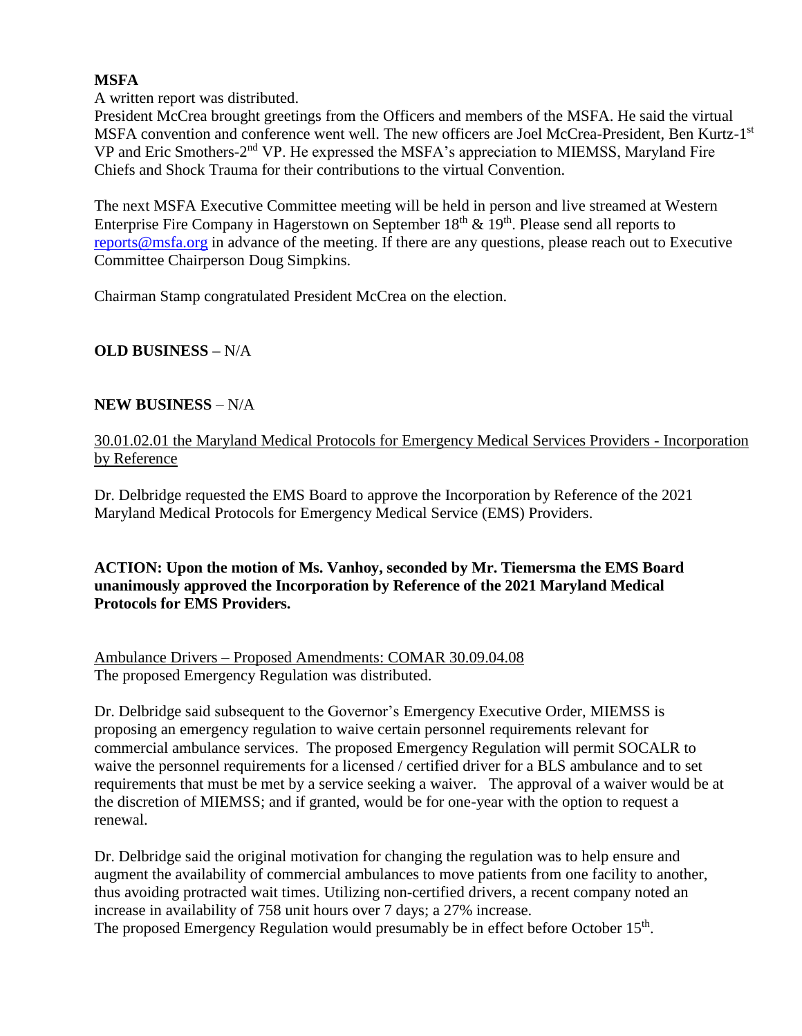# **MSFA**

A written report was distributed.

President McCrea brought greetings from the Officers and members of the MSFA. He said the virtual MSFA convention and conference went well. The new officers are Joel McCrea-President, Ben Kurtz-1<sup>st</sup> VP and Eric Smothers-2<sup>nd</sup> VP. He expressed the MSFA's appreciation to MIEMSS, Maryland Fire Chiefs and Shock Trauma for their contributions to the virtual Convention.

The next MSFA Executive Committee meeting will be held in person and live streamed at Western Enterprise Fire Company in Hagerstown on September  $18<sup>th</sup> \& 19<sup>th</sup>$ . Please send all reports to [reports@msfa.org](mailto:reports@msfa.org) in advance of the meeting. If there are any questions, please reach out to Executive Committee Chairperson Doug Simpkins.

Chairman Stamp congratulated President McCrea on the election.

# **OLD BUSINESS –** N/A

# **NEW BUSINESS** – N/A

30.01.02.01 the Maryland Medical Protocols for Emergency Medical Services Providers - Incorporation by Reference

Dr. Delbridge requested the EMS Board to approve the Incorporation by Reference of the 2021 Maryland Medical Protocols for Emergency Medical Service (EMS) Providers.

**ACTION: Upon the motion of Ms. Vanhoy, seconded by Mr. Tiemersma the EMS Board unanimously approved the Incorporation by Reference of the 2021 Maryland Medical Protocols for EMS Providers.**

Ambulance Drivers – Proposed Amendments: COMAR 30.09.04.08 The proposed Emergency Regulation was distributed.

Dr. Delbridge said subsequent to the Governor's Emergency Executive Order, MIEMSS is proposing an emergency regulation to waive certain personnel requirements relevant for commercial ambulance services. The proposed Emergency Regulation will permit SOCALR to waive the personnel requirements for a licensed / certified driver for a BLS ambulance and to set requirements that must be met by a service seeking a waiver. The approval of a waiver would be at the discretion of MIEMSS; and if granted, would be for one-year with the option to request a renewal.

Dr. Delbridge said the original motivation for changing the regulation was to help ensure and augment the availability of commercial ambulances to move patients from one facility to another, thus avoiding protracted wait times. Utilizing non-certified drivers, a recent company noted an increase in availability of 758 unit hours over 7 days; a 27% increase. The proposed Emergency Regulation would presumably be in effect before October 15<sup>th</sup>.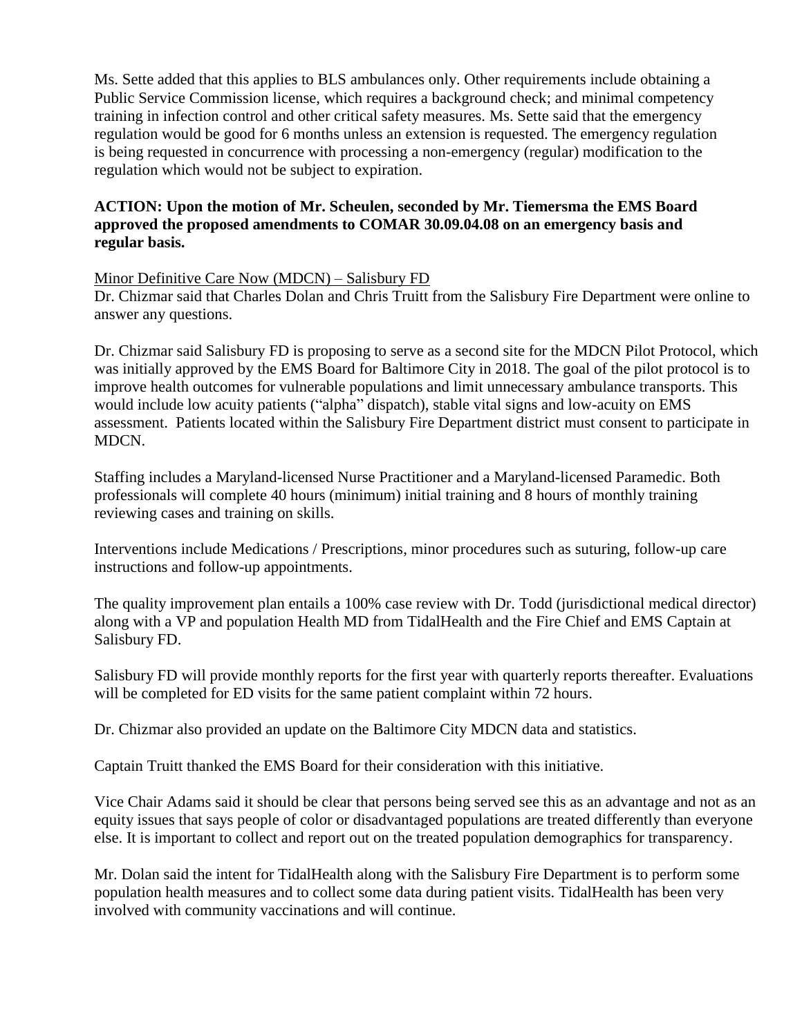Ms. Sette added that this applies to BLS ambulances only. Other requirements include obtaining a Public Service Commission license, which requires a background check; and minimal competency training in infection control and other critical safety measures. Ms. Sette said that the emergency regulation would be good for 6 months unless an extension is requested. The emergency regulation is being requested in concurrence with processing a non-emergency (regular) modification to the regulation which would not be subject to expiration.

## **ACTION: Upon the motion of Mr. Scheulen, seconded by Mr. Tiemersma the EMS Board approved the proposed amendments to COMAR 30.09.04.08 on an emergency basis and regular basis.**

Minor Definitive Care Now (MDCN) – Salisbury FD

Dr. Chizmar said that Charles Dolan and Chris Truitt from the Salisbury Fire Department were online to answer any questions.

Dr. Chizmar said Salisbury FD is proposing to serve as a second site for the MDCN Pilot Protocol, which was initially approved by the EMS Board for Baltimore City in 2018. The goal of the pilot protocol is to improve health outcomes for vulnerable populations and limit unnecessary ambulance transports. This would include low acuity patients ("alpha" dispatch), stable vital signs and low-acuity on EMS assessment. Patients located within the Salisbury Fire Department district must consent to participate in MDCN.

Staffing includes a Maryland-licensed Nurse Practitioner and a Maryland-licensed Paramedic. Both professionals will complete 40 hours (minimum) initial training and 8 hours of monthly training reviewing cases and training on skills.

Interventions include Medications / Prescriptions, minor procedures such as suturing, follow-up care instructions and follow-up appointments.

The quality improvement plan entails a 100% case review with Dr. Todd (jurisdictional medical director) along with a VP and population Health MD from TidalHealth and the Fire Chief and EMS Captain at Salisbury FD.

Salisbury FD will provide monthly reports for the first year with quarterly reports thereafter. Evaluations will be completed for ED visits for the same patient complaint within 72 hours.

Dr. Chizmar also provided an update on the Baltimore City MDCN data and statistics.

Captain Truitt thanked the EMS Board for their consideration with this initiative.

Vice Chair Adams said it should be clear that persons being served see this as an advantage and not as an equity issues that says people of color or disadvantaged populations are treated differently than everyone else. It is important to collect and report out on the treated population demographics for transparency.

Mr. Dolan said the intent for TidalHealth along with the Salisbury Fire Department is to perform some population health measures and to collect some data during patient visits. TidalHealth has been very involved with community vaccinations and will continue.